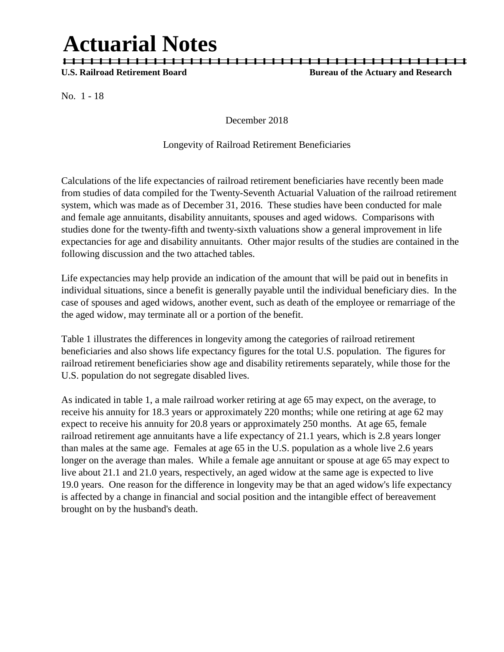# **Actuarial Notes**

| | | | | | | | | | | | | | | | | | | | | | | | | | | | | | | | | | | | | | | | | | | | |

**U.S. Railroad Retirement Board Bureau of the Actuary and Research**

No. 1 - 18

December 2018

### Longevity of Railroad Retirement Beneficiaries

Calculations of the life expectancies of railroad retirement beneficiaries have recently been made from studies of data compiled for the Twenty-Seventh Actuarial Valuation of the railroad retirement system, which was made as of December 31, 2016. These studies have been conducted for male and female age annuitants, disability annuitants, spouses and aged widows. Comparisons with studies done for the twenty-fifth and twenty-sixth valuations show a general improvement in life expectancies for age and disability annuitants. Other major results of the studies are contained in the following discussion and the two attached tables.

Life expectancies may help provide an indication of the amount that will be paid out in benefits in individual situations, since a benefit is generally payable until the individual beneficiary dies. In the case of spouses and aged widows, another event, such as death of the employee or remarriage of the the aged widow, may terminate all or a portion of the benefit.

Table 1 illustrates the differences in longevity among the categories of railroad retirement beneficiaries and also shows life expectancy figures for the total U.S. population. The figures for railroad retirement beneficiaries show age and disability retirements separately, while those for the U.S. population do not segregate disabled lives.

As indicated in table 1, a male railroad worker retiring at age 65 may expect, on the average, to receive his annuity for 18.3 years or approximately 220 months; while one retiring at age 62 may expect to receive his annuity for 20.8 years or approximately 250 months. At age 65, female railroad retirement age annuitants have a life expectancy of 21.1 years, which is 2.8 years longer than males at the same age. Females at age 65 in the U.S. population as a whole live 2.6 years longer on the average than males. While a female age annuitant or spouse at age 65 may expect to live about 21.1 and 21.0 years, respectively, an aged widow at the same age is expected to live 19.0 years. One reason for the difference in longevity may be that an aged widow's life expectancy is affected by a change in financial and social position and the intangible effect of bereavement brought on by the husband's death.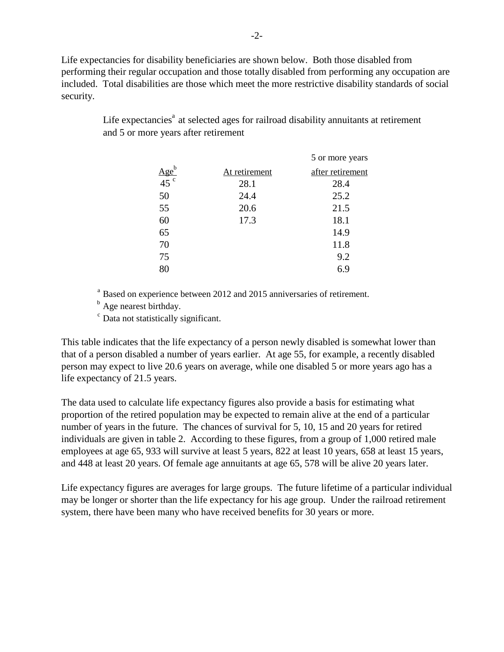Life expectancies for disability beneficiaries are shown below. Both those disabled from performing their regular occupation and those totally disabled from performing any occupation are included. Total disabilities are those which meet the more restrictive disability standards of social security.

|                    |               | 5 or more years  |
|--------------------|---------------|------------------|
| $\frac{Age^b}{45}$ | At retirement | after retirement |
|                    | 28.1          | 28.4             |
| 50                 | 24.4          | 25.2             |
| 55                 | 20.6          | 21.5             |
| 60                 | 17.3          | 18.1             |
| 65                 |               | 14.9             |
| 70                 |               | 11.8             |
| 75                 |               | 9.2              |
| 80                 |               | 6.9              |

Life expectancies<sup> $a$ </sup> at selected ages for railroad disability annuitants at retirement and 5 or more years after retirement

<sup>a</sup> Based on experience between 2012 and 2015 anniversaries of retirement.

<sup>b</sup> Age nearest birthday.

<sup>c</sup> Data not statistically significant.

This table indicates that the life expectancy of a person newly disabled is somewhat lower than that of a person disabled a number of years earlier. At age 55, for example, a recently disabled person may expect to live 20.6 years on average, while one disabled 5 or more years ago has a life expectancy of 21.5 years.

The data used to calculate life expectancy figures also provide a basis for estimating what proportion of the retired population may be expected to remain alive at the end of a particular number of years in the future. The chances of survival for 5, 10, 15 and 20 years for retired individuals are given in table 2. According to these figures, from a group of 1,000 retired male employees at age 65, 933 will survive at least 5 years, 822 at least 10 years, 658 at least 15 years, and 448 at least 20 years. Of female age annuitants at age 65, 578 will be alive 20 years later.

Life expectancy figures are averages for large groups. The future lifetime of a particular individual may be longer or shorter than the life expectancy for his age group. Under the railroad retirement system, there have been many who have received benefits for 30 years or more.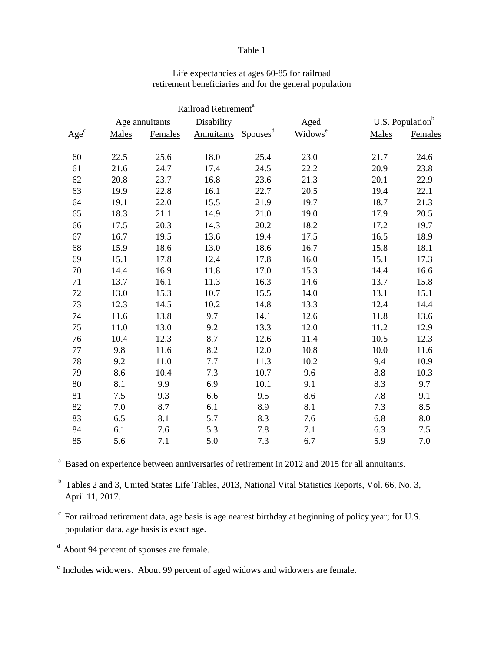#### Table 1

|         |       |                | Railroad Retirement <sup>a</sup> |                      |                     |                              |         |
|---------|-------|----------------|----------------------------------|----------------------|---------------------|------------------------------|---------|
|         |       | Age annuitants |                                  | Disability           |                     | U.S. Population <sup>b</sup> |         |
| $Age^c$ | Males | Females        | Annuitants                       | Spouses <sup>d</sup> | Widows <sup>e</sup> | Males                        | Females |
| 60      | 22.5  | 25.6           | 18.0                             | 25.4                 | 23.0                | 21.7                         | 24.6    |
| 61      | 21.6  | 24.7           | 17.4                             | 24.5                 | 22.2                | 20.9                         | 23.8    |
| 62      | 20.8  | 23.7           | 16.8                             | 23.6                 | 21.3                | 20.1                         | 22.9    |
| 63      | 19.9  | 22.8           | 16.1                             | 22.7                 | 20.5                | 19.4                         | 22.1    |
| 64      | 19.1  | 22.0           | 15.5                             | 21.9                 | 19.7                | 18.7                         | 21.3    |
| 65      | 18.3  | 21.1           | 14.9                             | 21.0                 | 19.0                | 17.9                         | 20.5    |
| 66      | 17.5  | 20.3           | 14.3                             | 20.2                 | 18.2                | 17.2                         | 19.7    |
| 67      | 16.7  | 19.5           | 13.6                             | 19.4                 | 17.5                | 16.5                         | 18.9    |
| 68      | 15.9  | 18.6           | 13.0                             | 18.6                 | 16.7                | 15.8                         | 18.1    |
| 69      | 15.1  | 17.8           | 12.4                             | 17.8                 | 16.0                | 15.1                         | 17.3    |
| 70      | 14.4  | 16.9           | 11.8                             | 17.0                 | 15.3                | 14.4                         | 16.6    |
| 71      | 13.7  | 16.1           | 11.3                             | 16.3                 | 14.6                | 13.7                         | 15.8    |
| 72      | 13.0  | 15.3           | 10.7                             | 15.5                 | 14.0                | 13.1                         | 15.1    |
| 73      | 12.3  | 14.5           | 10.2                             | 14.8                 | 13.3                | 12.4                         | 14.4    |
| 74      | 11.6  | 13.8           | 9.7                              | 14.1                 | 12.6                | 11.8                         | 13.6    |
| 75      | 11.0  | 13.0           | 9.2                              | 13.3                 | 12.0                | 11.2                         | 12.9    |
| 76      | 10.4  | 12.3           | 8.7                              | 12.6                 | 11.4                | 10.5                         | 12.3    |
| 77      | 9.8   | 11.6           | 8.2                              | 12.0                 | 10.8                | 10.0                         | 11.6    |
| 78      | 9.2   | 11.0           | 7.7                              | 11.3                 | 10.2                | 9.4                          | 10.9    |
| 79      | 8.6   | 10.4           | 7.3                              | 10.7                 | 9.6                 | 8.8                          | 10.3    |
| 80      | 8.1   | 9.9            | 6.9                              | 10.1                 | 9.1                 | 8.3                          | 9.7     |
| 81      | 7.5   | 9.3            | 6.6                              | 9.5                  | 8.6                 | 7.8                          | 9.1     |
| 82      | 7.0   | 8.7            | 6.1                              | 8.9                  | 8.1                 | 7.3                          | 8.5     |
| 83      | 6.5   | 8.1            | 5.7                              | 8.3                  | 7.6                 | 6.8                          | 8.0     |
| 84      | 6.1   | 7.6            | 5.3                              | 7.8                  | 7.1                 | 6.3                          | 7.5     |
| 85      | 5.6   | 7.1            | 5.0                              | 7.3                  | 6.7                 | 5.9                          | 7.0     |

## Life expectancies at ages 60-85 for railroad retirement beneficiaries and for the general population

<sup>a</sup> Based on experience between anniversaries of retirement in 2012 and 2015 for all annuitants.

<sup>b</sup> Tables 2 and 3, United States Life Tables, 2013, National Vital Statistics Reports, Vol. 66, No. 3, April 11, 2017.

 $\degree$  For railroad retirement data, age basis is age nearest birthday at beginning of policy year; for U.S. population data, age basis is exact age.

d About 94 percent of spouses are female.

e Includes widowers. About 99 percent of aged widows and widowers are female.